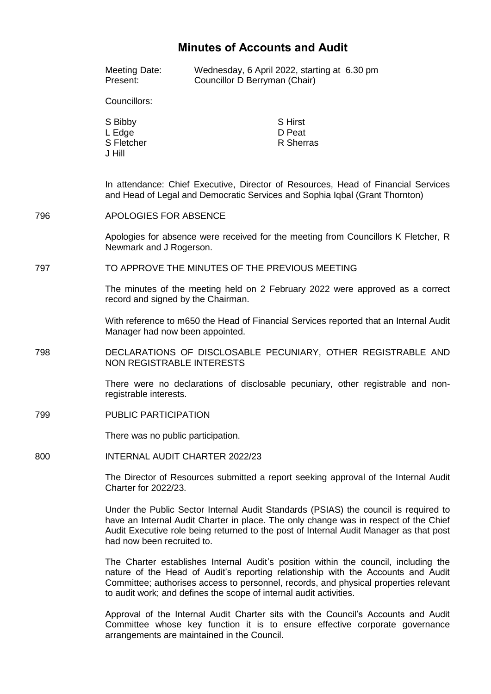## **Minutes of Accounts and Audit**

|     | Meeting Date:<br>Present:                                                                                                                                                                                                                                                                                                             | Councillor D Berryman (Chair) | Wednesday, 6 April 2022, starting at 6.30 pm |  |
|-----|---------------------------------------------------------------------------------------------------------------------------------------------------------------------------------------------------------------------------------------------------------------------------------------------------------------------------------------|-------------------------------|----------------------------------------------|--|
|     | Councillors:                                                                                                                                                                                                                                                                                                                          |                               |                                              |  |
|     | S Bibby<br>L Edge<br>S Fletcher<br>J Hill                                                                                                                                                                                                                                                                                             |                               | <b>S</b> Hirst<br>D Peat<br>R Sherras        |  |
|     | In attendance: Chief Executive, Director of Resources, Head of Financial Services<br>and Head of Legal and Democratic Services and Sophia Iqbal (Grant Thornton)                                                                                                                                                                      |                               |                                              |  |
| 796 | <b>APOLOGIES FOR ABSENCE</b>                                                                                                                                                                                                                                                                                                          |                               |                                              |  |
|     | Apologies for absence were received for the meeting from Councillors K Fletcher, R<br>Newmark and J Rogerson.                                                                                                                                                                                                                         |                               |                                              |  |
| 797 | TO APPROVE THE MINUTES OF THE PREVIOUS MEETING                                                                                                                                                                                                                                                                                        |                               |                                              |  |
|     | The minutes of the meeting held on 2 February 2022 were approved as a correct<br>record and signed by the Chairman.                                                                                                                                                                                                                   |                               |                                              |  |
|     | With reference to m650 the Head of Financial Services reported that an Internal Audit<br>Manager had now been appointed.                                                                                                                                                                                                              |                               |                                              |  |
| 798 | DECLARATIONS OF DISCLOSABLE PECUNIARY, OTHER REGISTRABLE AND<br><b>NON REGISTRABLE INTERESTS</b>                                                                                                                                                                                                                                      |                               |                                              |  |
|     | There were no declarations of disclosable pecuniary, other registrable and non-<br>registrable interests.                                                                                                                                                                                                                             |                               |                                              |  |
| 799 | <b>PUBLIC PARTICIPATION</b>                                                                                                                                                                                                                                                                                                           |                               |                                              |  |
|     | There was no public participation.                                                                                                                                                                                                                                                                                                    |                               |                                              |  |
| 800 | INTERNAL AUDIT CHARTER 2022/23                                                                                                                                                                                                                                                                                                        |                               |                                              |  |
|     | The Director of Resources submitted a report seeking approval of the Internal Audit<br><b>Charter for 2022/23.</b>                                                                                                                                                                                                                    |                               |                                              |  |
|     | Under the Public Sector Internal Audit Standards (PSIAS) the council is required to<br>have an Internal Audit Charter in place. The only change was in respect of the Chief<br>Audit Executive role being returned to the post of Internal Audit Manager as that post<br>had now been recruited to.                                   |                               |                                              |  |
|     | The Charter establishes Internal Audit's position within the council, including the<br>nature of the Head of Audit's reporting relationship with the Accounts and Audit<br>Committee; authorises access to personnel, records, and physical properties relevant<br>to audit work; and defines the scope of internal audit activities. |                               |                                              |  |
|     | Approval of the Internal Audit Charter sits with the Council's Accounts and Audit                                                                                                                                                                                                                                                     |                               |                                              |  |

Committee whose key function it is to ensure effective corporate governance

arrangements are maintained in the Council.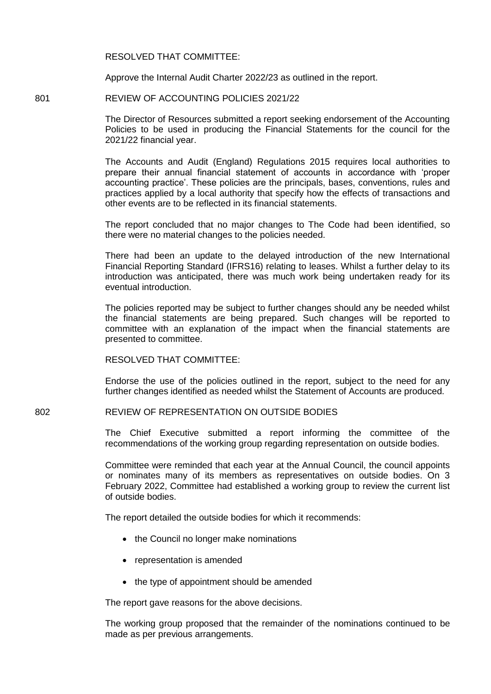RESOLVED THAT COMMITTEE:

Approve the Internal Audit Charter 2022/23 as outlined in the report.

801 REVIEW OF ACCOUNTING POLICIES 2021/22

The Director of Resources submitted a report seeking endorsement of the Accounting Policies to be used in producing the Financial Statements for the council for the 2021/22 financial year.

The Accounts and Audit (England) Regulations 2015 requires local authorities to prepare their annual financial statement of accounts in accordance with 'proper accounting practice'. These policies are the principals, bases, conventions, rules and practices applied by a local authority that specify how the effects of transactions and other events are to be reflected in its financial statements.

The report concluded that no major changes to The Code had been identified, so there were no material changes to the policies needed.

There had been an update to the delayed introduction of the new International Financial Reporting Standard (IFRS16) relating to leases. Whilst a further delay to its introduction was anticipated, there was much work being undertaken ready for its eventual introduction.

The policies reported may be subject to further changes should any be needed whilst the financial statements are being prepared. Such changes will be reported to committee with an explanation of the impact when the financial statements are presented to committee.

RESOLVED THAT COMMITTEE:

Endorse the use of the policies outlined in the report, subject to the need for any further changes identified as needed whilst the Statement of Accounts are produced.

802 REVIEW OF REPRESENTATION ON OUTSIDE BODIES

The Chief Executive submitted a report informing the committee of the recommendations of the working group regarding representation on outside bodies.

Committee were reminded that each year at the Annual Council, the council appoints or nominates many of its members as representatives on outside bodies. On 3 February 2022, Committee had established a working group to review the current list of outside bodies.

The report detailed the outside bodies for which it recommends:

- the Council no longer make nominations
- representation is amended
- the type of appointment should be amended

The report gave reasons for the above decisions.

The working group proposed that the remainder of the nominations continued to be made as per previous arrangements.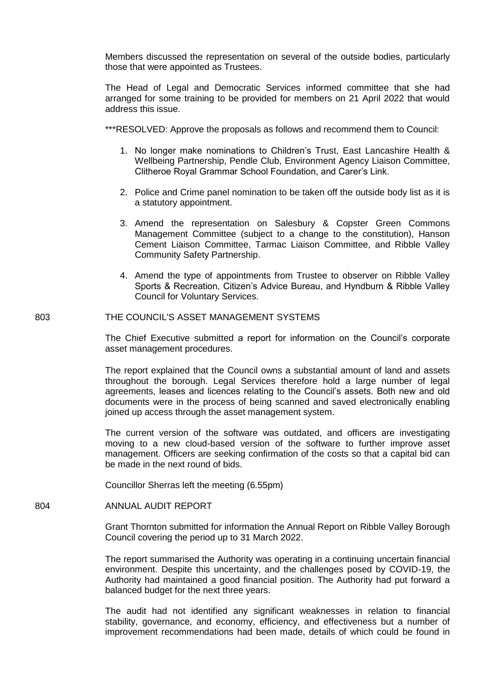Members discussed the representation on several of the outside bodies, particularly those that were appointed as Trustees.

The Head of Legal and Democratic Services informed committee that she had arranged for some training to be provided for members on 21 April 2022 that would address this issue.

\*\*\*RESOLVED: Approve the proposals as follows and recommend them to Council:

- 1. No longer make nominations to Children's Trust, East Lancashire Health & Wellbeing Partnership, Pendle Club, Environment Agency Liaison Committee, Clitheroe Royal Grammar School Foundation, and Carer's Link.
- 2. Police and Crime panel nomination to be taken off the outside body list as it is a statutory appointment.
- 3. Amend the representation on Salesbury & Copster Green Commons Management Committee (subject to a change to the constitution), Hanson Cement Liaison Committee, Tarmac Liaison Committee, and Ribble Valley Community Safety Partnership.
- 4. Amend the type of appointments from Trustee to observer on Ribble Valley Sports & Recreation, Citizen's Advice Bureau, and Hyndburn & Ribble Valley Council for Voluntary Services.

## 803 THE COUNCIL'S ASSET MANAGEMENT SYSTEMS

The Chief Executive submitted a report for information on the Council's corporate asset management procedures.

The report explained that the Council owns a substantial amount of land and assets throughout the borough. Legal Services therefore hold a large number of legal agreements, leases and licences relating to the Council's assets. Both new and old documents were in the process of being scanned and saved electronically enabling joined up access through the asset management system.

The current version of the software was outdated, and officers are investigating moving to a new cloud-based version of the software to further improve asset management. Officers are seeking confirmation of the costs so that a capital bid can be made in the next round of bids.

Councillor Sherras left the meeting (6.55pm)

804 ANNUAL AUDIT REPORT

Grant Thornton submitted for information the Annual Report on Ribble Valley Borough Council covering the period up to 31 March 2022.

The report summarised the Authority was operating in a continuing uncertain financial environment. Despite this uncertainty, and the challenges posed by COVID-19, the Authority had maintained a good financial position. The Authority had put forward a balanced budget for the next three years.

The audit had not identified any significant weaknesses in relation to financial stability, governance, and economy, efficiency, and effectiveness but a number of improvement recommendations had been made, details of which could be found in